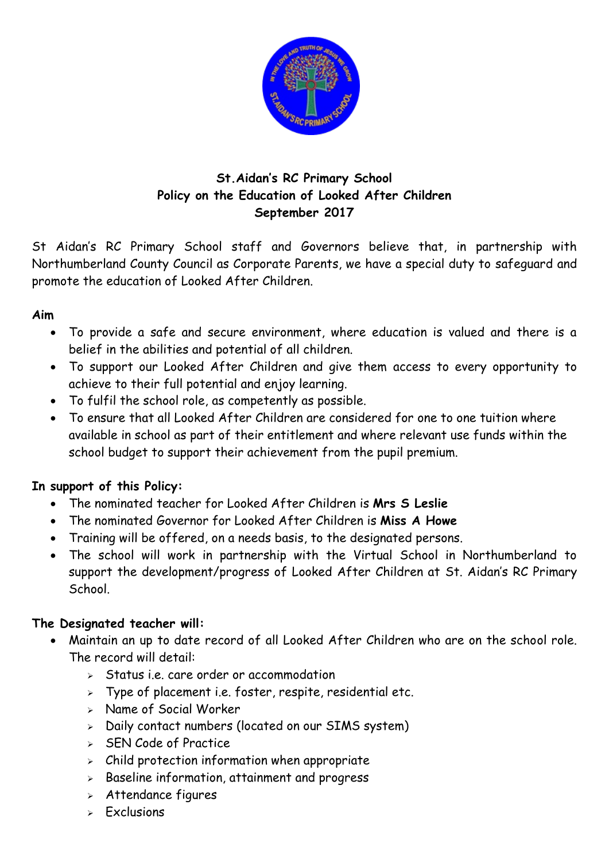

## **St.Aidan's RC Primary School Policy on the Education of Looked After Children September 2017**

St Aidan's RC Primary School staff and Governors believe that, in partnership with Northumberland County Council as Corporate Parents, we have a special duty to safeguard and promote the education of Looked After Children.

## **Aim**

- To provide a safe and secure environment, where education is valued and there is a belief in the abilities and potential of all children.
- To support our Looked After Children and give them access to every opportunity to achieve to their full potential and enjoy learning.
- To fulfil the school role, as competently as possible.
- To ensure that all Looked After Children are considered for one to one tuition where available in school as part of their entitlement and where relevant use funds within the school budget to support their achievement from the pupil premium.

## **In support of this Policy:**

- The nominated teacher for Looked After Children is **Mrs S Leslie**
- The nominated Governor for Looked After Children is **Miss A Howe**
- Training will be offered, on a needs basis, to the designated persons.
- The school will work in partnership with the Virtual School in Northumberland to support the development/progress of Looked After Children at St. Aidan's RC Primary School.

## **The Designated teacher will:**

- Maintain an up to date record of all Looked After Children who are on the school role. The record will detail:
	- $\triangleright$  Status i.e. care order or accommodation
	- $\triangleright$  Type of placement i.e. foster, respite, residential etc.
	- > Name of Social Worker
	- $>$  Daily contact numbers (located on our SIMS system)
	- $\triangleright$  SEN Code of Practice
	- $\geq$  Child protection information when appropriate
	- $\geq$  Baseline information, attainment and progress
	- Attendance figures
	- $\triangleright$  Exclusions